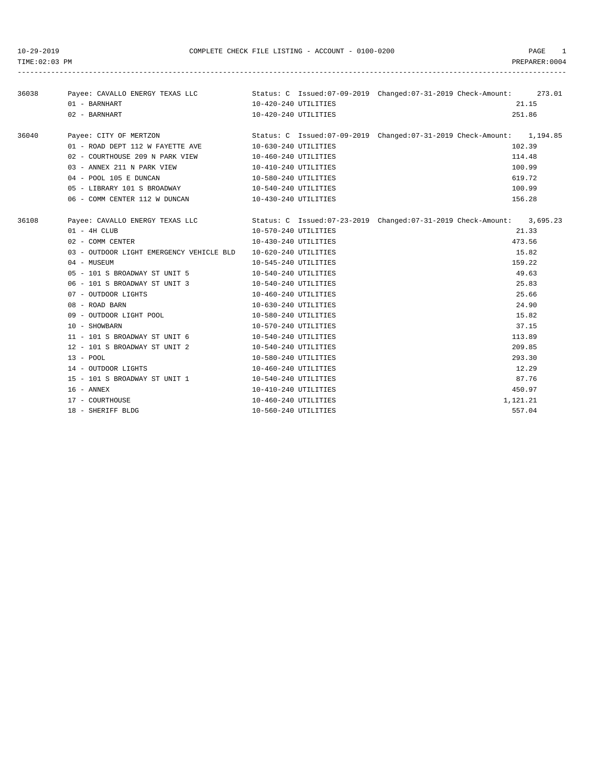-----------------------------------------------------------------------------------------------------------------------------------

| 36038 |                                                  |                      | Payee: CAVALLO ENERGY TEXAS LLC Status: C Issued:07-09-2019 Changed:07-31-2019 Check-Amount: 273.01 |
|-------|--------------------------------------------------|----------------------|-----------------------------------------------------------------------------------------------------|
|       | 01 - BARNHART                                    | 10-420-240 UTILITIES | 21.15                                                                                               |
|       | 02 - BARNHART                                    | 10-420-240 UTILITIES | 251.86                                                                                              |
|       |                                                  |                      | Payee: CITY OF MERTZON Status: C Issued:07-09-2019 Changed:07-31-2019 Check-Amount: 1,194.85        |
| 36040 |                                                  |                      | 102.39                                                                                              |
|       | 01 - ROAD DEPT 112 W FAYETTE AVE                 | 10-630-240 UTILITIES | 114.48                                                                                              |
|       | 02 - COURTHOUSE 209 N PARK VIEW                  | 10-460-240 UTILITIES |                                                                                                     |
|       | 03 - ANNEX 211 N PARK VIEW                       | 10-410-240 UTILITIES | 100.99                                                                                              |
|       | 04 - POOL 105 E DUNCAN                           | 10-580-240 UTILITIES | 619.72                                                                                              |
|       | 05 - LIBRARY 101 S BROADWAY 10-540-240 UTILITIES |                      | 100.99                                                                                              |
|       | 06 - COMM CENTER 112 W DUNCAN                    | 10-430-240 UTILITIES | 156.28                                                                                              |
| 36108 | Payee: CAVALLO ENERGY TEXAS LLC                  |                      | Status: C Issued:07-23-2019 Changed:07-31-2019 Check-Amount: 3,695.23                               |
|       | $01 - 4H$ CLUB                                   | 10-570-240 UTILITIES | 21.33                                                                                               |
|       | 02 - COMM CENTER                                 | 10-430-240 UTILITIES | 473.56                                                                                              |
|       | 03 - OUTDOOR LIGHT EMERGENCY VEHICLE BLD         | 10-620-240 UTILITIES | 15.82                                                                                               |
|       | $04 -$ MUSEUM                                    | 10-545-240 UTILITIES | 159.22                                                                                              |
|       | 05 - 101 S BROADWAY ST UNIT 5                    | 10-540-240 UTILITIES | 49.63                                                                                               |
|       | 06 - 101 S BROADWAY ST UNIT 3                    | 10-540-240 UTILITIES | 25.83                                                                                               |
|       | 07 - OUTDOOR LIGHTS                              | 10-460-240 UTILITIES | 25.66                                                                                               |
|       | 08 - ROAD BARN                                   | 10-630-240 UTILITIES | 24.90                                                                                               |
|       | 09 - OUTDOOR LIGHT POOL                          | 10-580-240 UTILITIES | 15.82                                                                                               |
|       | 10 - SHOWBARN                                    | 10-570-240 UTILITIES | 37.15                                                                                               |
|       | 11 - 101 S BROADWAY ST UNIT 6                    | 10-540-240 UTILITIES | 113.89                                                                                              |
|       | 12 - 101 S BROADWAY ST UNIT 2                    | 10-540-240 UTILITIES | 209.85                                                                                              |
|       | $13 - POOL$                                      | 10-580-240 UTILITIES | 293.30                                                                                              |
|       | 14 - OUTDOOR LIGHTS                              | 10-460-240 UTILITIES | 12.29                                                                                               |
|       | 15 - 101 S BROADWAY ST UNIT 1                    | 10-540-240 UTILITIES | 87.76                                                                                               |
|       | 16 - ANNEX                                       | 10-410-240 UTILITIES | 450.97                                                                                              |
|       | 17 - COURTHOUSE                                  | 10-460-240 UTILITIES | 1,121.21                                                                                            |
|       | 18 - SHERIFF BLDG                                | 10-560-240 UTILITIES | 557.04                                                                                              |
|       |                                                  |                      |                                                                                                     |